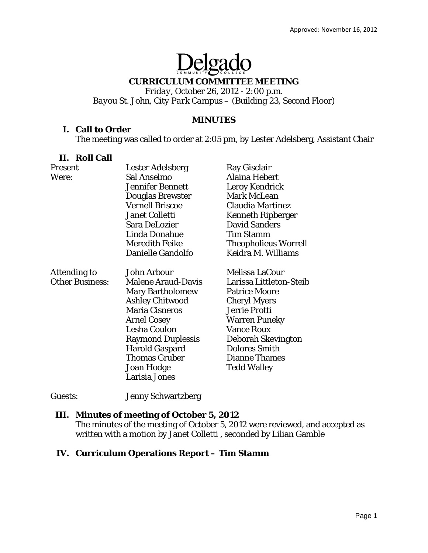# Delgado

#### **CURRICULUM COMMITTEE MEETING**

*Friday, October 26, 2012 - 2:00 p.m. Bayou St. John, City Park Campus – (Building 23, Second Floor)* 

#### **MINUTES**

#### **I. Call to Order**

The meeting was called to order at 2:05 pm, by Lester Adelsberg, Assistant Chair

#### **II. Roll Call**

| <b>Present</b>         | <b>Lester Adelsberg</b>   | Ray Gisclair                |
|------------------------|---------------------------|-----------------------------|
| Were:                  | Sal Anselmo               | Alaina Hebert               |
|                        | <b>Jennifer Bennett</b>   | Leroy Kendrick              |
|                        | <b>Douglas Brewster</b>   | Mark McLean                 |
|                        | <b>Vernell Briscoe</b>    | <b>Claudia Martinez</b>     |
|                        | <b>Janet Colletti</b>     | <b>Kenneth Ripberger</b>    |
|                        | <b>Sara DeLozier</b>      | <b>David Sanders</b>        |
|                        | Linda Donahue             | <b>Tim Stamm</b>            |
|                        | <b>Meredith Feike</b>     | <b>Theopholieus Worrell</b> |
|                        | Danielle Gandolfo         | Keidra M. Williams          |
| Attending to           | <b>John Arbour</b>        | Melissa LaCour              |
| <b>Other Business:</b> | <b>Malene Araud-Davis</b> | Larissa Littleton-Steib     |
|                        | <b>Mary Bartholomew</b>   | <b>Patrice Moore</b>        |
|                        | <b>Ashley Chitwood</b>    | <b>Cheryl Myers</b>         |
|                        | <b>Maria Cisneros</b>     | Jerrie Protti               |
|                        | <b>Arnel Cosey</b>        | <b>Warren Puneky</b>        |
|                        | Lesha Coulon              | <b>Vance Roux</b>           |
|                        | <b>Raymond Duplessis</b>  | Deborah Skevington          |
|                        | <b>Harold Gaspard</b>     | <b>Dolores Smith</b>        |
|                        | <b>Thomas Gruber</b>      | <b>Dianne Thames</b>        |
|                        | Joan Hodge                | <b>Tedd Walley</b>          |
|                        | Larisia Jones             |                             |

Guests: Jenny Schwartzberg

#### **III. Minutes of meeting of October 5, 2012**

The minutes of the meeting of October 5, 2012 were reviewed, and accepted as written with a motion by Janet Colletti , seconded by Lilian Gamble

### **IV. Curriculum Operations Report – Tim Stamm**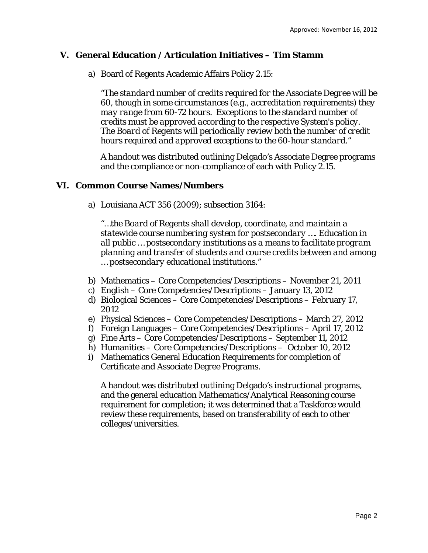#### **V. General Education / Articulation Initiatives – Tim Stamm**

a) Board of Regents Academic Affairs Policy 2.15:

*"The standard number of credits required for the Associate Degree will be 60, though in some circumstances (e.g., accreditation requirements) they may range from 60-72 hours. Exceptions to the standard number of credits must be approved according to the respective System's policy. The Board of Regents will periodically review both the number of credit hours required and approved exceptions to the 60-hour standard."*

A handout was distributed outlining Delgado's Associate Degree programs and the compliance or non-compliance of each with Policy 2.15.

#### **VI. Common Course Names/Numbers**

a) Louisiana ACT 356 (2009); subsection 3164:

*"…the Board of Regents shall develop, coordinate, and maintain a statewide course numbering system for postsecondary …. Education in all public … postsecondary institutions as a means to facilitate program planning and transfer of students and course credits between and among … postsecondary educational institutions."* 

- b) Mathematics Core Competencies/Descriptions November 21, 2011
- c) English Core Competencies/Descriptions January 13, 2012
- d) Biological Sciences Core Competencies/Descriptions February 17, 2012
- e) Physical Sciences Core Competencies/Descriptions March 27, 2012
- f) Foreign Languages Core Competencies/Descriptions April 17, 2012
- g) Fine Arts Core Competencies/Descriptions September 11, 2012
- h) Humanities Core Competencies/Descriptions October 10, 2012
- i) Mathematics General Education Requirements for completion of Certificate and Associate Degree Programs.

A handout was distributed outlining Delgado's instructional programs, and the general education Mathematics/Analytical Reasoning course requirement for completion; it was determined that a Taskforce would review these requirements, based on transferability of each to other colleges/universities.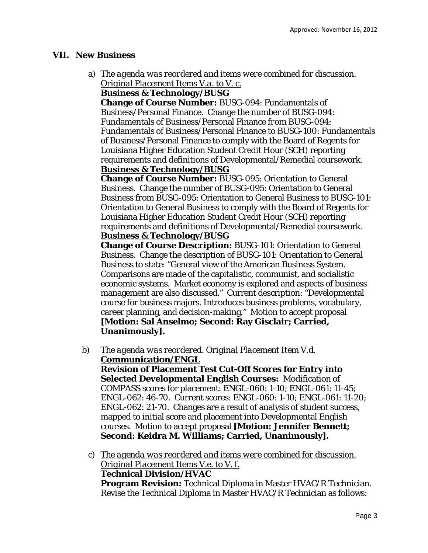#### **VII. New Business**

a) *The agenda was reordered and items were combined for discussion. Original Placement Items V.a. to V. c.* 

#### **Business & Technology/BUSG**

**Change of Course Number:** BUSG-094: Fundamentals of Business/Personal Finance. Change the number of BUSG-094: Fundamentals of Business/Personal Finance *from* BUSG-094: Fundamentals of Business/Personal Finance *to* BUSG-100: Fundamentals of Business/Personal Finance to comply with the Board of Regents for Louisiana Higher Education Student Credit Hour (SCH) reporting requirements and definitions of Developmental/Remedial coursework. **Business & Technology/BUSG** 

**Change of Course Number:** BUSG-095: Orientation to General Business. Change the number of BUSG-095: Orientation to General Business *from* BUSG-095: Orientation to General Business *to* BUSG-101: Orientation to General Business to comply with the Board of Regents for Louisiana Higher Education Student Credit Hour (SCH) reporting requirements and definitions of Developmental/Remedial coursework. **Business & Technology/BUSG** 

**Change of Course Description:** BUSG-101: Orientation to General Business. Change the description of BUSG-101: Orientation to General Business to state: "General view of the American Business System. Comparisons are made of the capitalistic, communist, and socialistic economic systems. Market economy is explored and aspects of business management are also discussed." Current description: "Developmental course for business majors. Introduces business problems, vocabulary, career planning, and decision-making." Motion to accept proposal **[Motion: Sal Anselmo; Second: Ray Gisclair; Carried, Unanimously].** 

b) *The agenda was reordered. Original Placement Item V.d.*  **Communication/ENGL** 

**Revision of Placement Test Cut-Off Scores for Entry into Selected Developmental English Courses:** Modification of COMPASS scores for placement: ENGL-060: 1-10; ENGL-061: 11-45; ENGL-062: 46-70. Current scores: ENGL-060: 1-10; ENGL-061: 11-20; ENGL-062: 21-70. Changes are a result of analysis of student success, mapped to initial score and placement into Developmental English courses. Motion to accept proposal **[Motion: Jennifer Bennett; Second: Keidra M. Williams; Carried, Unanimously].** 

c) *The agenda was reordered and items were combined for discussion. Original Placement Items V.e. to V. f.*  **Technical Division/HVAC Program Revision:** Technical Diploma in Master HVAC/R Technician. Revise the Technical Diploma in Master HVAC/R Technician as follows: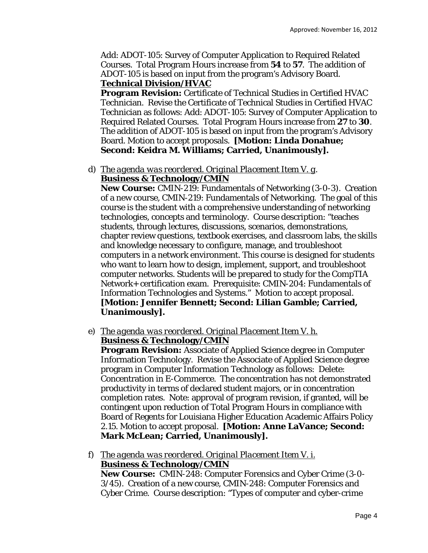Add: ADOT-105: Survey of Computer Application to Required Related Courses. Total Program Hours increase *from* **54** *to* **57**. The addition of ADOT-105 is based on input from the program's Advisory Board. **Technical Division/HVAC** 

**Program Revision:** Certificate of Technical Studies in Certified HVAC Technician. Revise the Certificate of Technical Studies in Certified HVAC Technician as follows: Add: ADOT-105: Survey of Computer Application to Required Related Courses. Total Program Hours increase *from* **27** *to* **30**. The addition of ADOT-105 is based on input from the program's Advisory Board. Motion to accept proposals. **[Motion: Linda Donahue; Second: Keidra M. Williams; Carried, Unanimously].** 

d) *The agenda was reordered. Original Placement Item V. g*. **Business & Technology/CMIN** 

**New Course:** CMIN-219: Fundamentals of Networking (3-0-3). Creation of a new course, CMIN-219: Fundamentals of Networking. The goal of this course is the student with a comprehensive understanding of networking technologies, concepts and terminology. Course description: "teaches students, through lectures, discussions, scenarios, demonstrations, chapter review questions, textbook exercises, and classroom labs, the skills and knowledge necessary to configure, manage, and troubleshoot computers in a network environment. This course is designed for students who want to learn how to design, implement, support, and troubleshoot computer networks. Students will be prepared to study for the CompTIA Network+ certification exam. Prerequisite: CMIN-204: Fundamentals of Information Technologies and Systems." Motion to accept proposal. **[Motion: Jennifer Bennett; Second: Lilian Gamble; Carried, Unanimously].** 

e) *The agenda was reordered. Original Placement Item V. h.*  **Business & Technology/CMIN** 

**Program Revision:** Associate of Applied Science degree in Computer Information Technology. Revise the Associate of Applied Science degree program in Computer Information Technology as follows: Delete: Concentration in E-Commerce. The concentration has not demonstrated productivity in terms of declared student majors, or in concentration completion rates. Note: approval of program revision, if granted, will be contingent upon reduction of Total Program Hours in compliance with Board of Regents for Louisiana Higher Education Academic Affairs Policy 2.15. Motion to accept proposal. **[Motion: Anne LaVance; Second: Mark McLean; Carried, Unanimously].** 

f) *The agenda was reordered. Original Placement Item V. i.*  **Business & Technology/CMIN** 

**New Course:** CMIN-248: Computer Forensics and Cyber Crime (3-0- 3/45). Creation of a new course, CMIN-248: Computer Forensics and Cyber Crime. Course description: "Types of computer and cyber-crime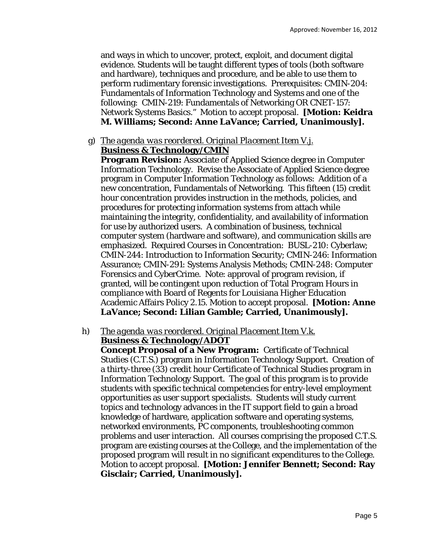and ways in which to uncover, protect, exploit, and document digital evidence. Students will be taught different types of tools (both software and hardware), techniques and procedure, and be able to use them to perform rudimentary forensic investigations. Prerequisites: CMIN-204: Fundamentals of Information Technology and Systems and one of the following: CMIN-219: Fundamentals of Networking OR CNET-157: Network Systems Basics." Motion to accept proposal. **[Motion: Keidra M. Williams; Second: Anne LaVance; Carried, Unanimously].** 

## g) *The agenda was reordered. Original Placement Item V.j.*

### **Business & Technology/CMIN**

**Program Revision:** Associate of Applied Science degree in Computer Information Technology. Revise the Associate of Applied Science degree program in Computer Information Technology as follows: Addition of a new concentration, Fundamentals of Networking. This fifteen (15) credit hour concentration provides instruction in the methods, policies, and procedures for protecting information systems from attach while maintaining the integrity, confidentiality, and availability of information for use by authorized users. A combination of business, technical computer system (hardware and software), and communication skills are emphasized. Required Courses in Concentration: BUSL-210: Cyberlaw; CMIN-244: Introduction to Information Security; CMIN-246: Information Assurance; CMIN-291: Systems Analysis Methods; CMIN-248: Computer Forensics and CyberCrime. Note: approval of program revision, if granted, will be contingent upon reduction of Total Program Hours in compliance with Board of Regents for Louisiana Higher Education Academic Affairs Policy 2.15. Motion to accept proposal. **[Motion: Anne LaVance; Second: Lilian Gamble; Carried, Unanimously].** 

#### h) *The agenda was reordered. Original Placement Item V.k.*  **Business & Technology/ADOT**

**Concept Proposal of a New Program:** Certificate of Technical Studies (C.T.S.) program in Information Technology Support. Creation of a thirty-three (33) credit hour Certificate of Technical Studies program in Information Technology Support. The goal of this program is to provide students with specific technical competencies for entry-level employment opportunities as user support specialists. Students will study current topics and technology advances in the IT support field to gain a broad knowledge of hardware, application software and operating systems, networked environments, PC components, troubleshooting common problems and user interaction. All courses comprising the proposed C.T.S. program are existing courses at the College, and the implementation of the proposed program will result in no significant expenditures to the College. Motion to accept proposal. **[Motion: Jennifer Bennett; Second: Ray Gisclair; Carried, Unanimously].**